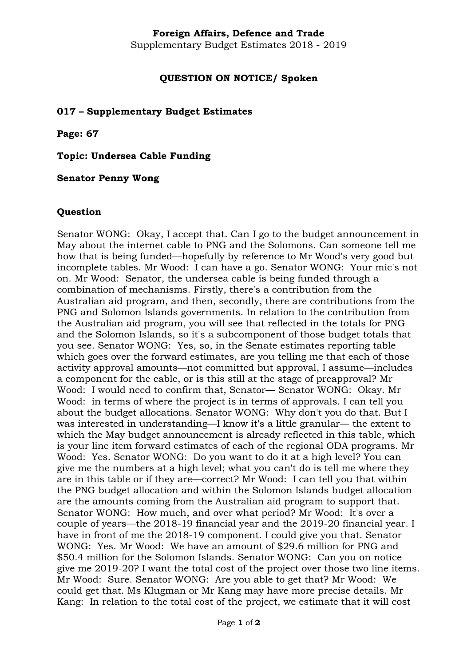## **Foreign Affairs, Defence and Trade**

Supplementary Budget Estimates 2018 - 2019

## **QUESTION ON NOTICE/ Spoken**

#### **017 – Supplementary Budget Estimates**

**Page: 67**

**Topic: Undersea Cable Funding**

**Senator Penny Wong**

#### **Question**

Senator WONG: Okay, I accept that. Can I go to the budget announcement in May about the internet cable to PNG and the Solomons. Can someone tell me how that is being funded—hopefully by reference to Mr Wood's very good but incomplete tables. Mr Wood: I can have a go. Senator WONG: Your mic's not on. Mr Wood: Senator, the undersea cable is being funded through a combination of mechanisms. Firstly, there's a contribution from the Australian aid program, and then, secondly, there are contributions from the PNG and Solomon Islands governments. In relation to the contribution from the Australian aid program, you will see that reflected in the totals for PNG and the Solomon Islands, so it's a subcomponent of those budget totals that you see. Senator WONG: Yes, so, in the Senate estimates reporting table which goes over the forward estimates, are you telling me that each of those activity approval amounts—not committed but approval, I assume—includes a component for the cable, or is this still at the stage of preapproval? Mr Wood: I would need to confirm that, Senator— Senator WONG: Okay. Mr Wood: in terms of where the project is in terms of approvals. I can tell you about the budget allocations. Senator WONG: Why don't you do that. But I was interested in understanding—I know it's a little granular— the extent to which the May budget announcement is already reflected in this table, which is your line item forward estimates of each of the regional ODA programs. Mr Wood: Yes. Senator WONG: Do you want to do it at a high level? You can give me the numbers at a high level; what you can't do is tell me where they are in this table or if they are—correct? Mr Wood: I can tell you that within the PNG budget allocation and within the Solomon Islands budget allocation are the amounts coming from the Australian aid program to support that. Senator WONG: How much, and over what period? Mr Wood: It's over a couple of years—the 2018-19 financial year and the 2019-20 financial year. I have in front of me the 2018-19 component. I could give you that. Senator WONG: Yes. Mr Wood: We have an amount of \$29.6 million for PNG and \$50.4 million for the Solomon Islands. Senator WONG: Can you on notice give me 2019-20? I want the total cost of the project over those two line items. Mr Wood: Sure. Senator WONG: Are you able to get that? Mr Wood: We could get that. Ms Klugman or Mr Kang may have more precise details. Mr Kang: In relation to the total cost of the project, we estimate that it will cost